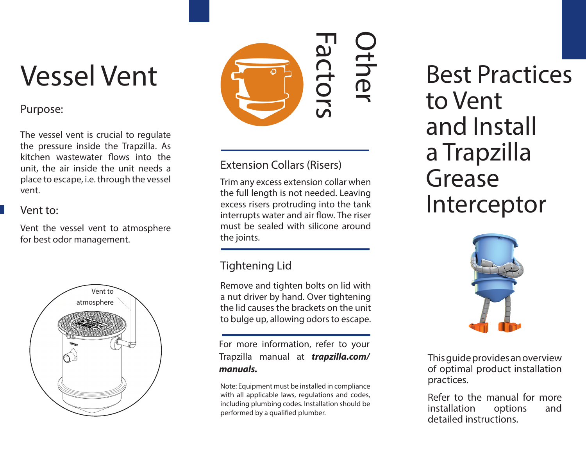# Vessel Vent

#### Purpose:

The vessel vent is crucial to regulate the pressure inside the Trapzilla. As kitchen wastewater flows into the unit, the air inside the unit needs a place to escape, i.e. through the vessel vent.

#### Vent to:

Vent the vessel vent to atmosphere for best odor management.





### Extension Collars (Risers)

Trim any excess extension collar when the full length is not needed. Leaving excess risers protruding into the tank interrupts water and air flow. The riser must be sealed with silicone around the joints.

## Tightening Lid

Remove and tighten bolts on lid with a nut driver by hand. Over tightening the lid causes the brackets on the unit to bulge up, allowing odors to escape.

For more information, refer to your Trapzilla manual at *trapzilla.com/ manuals.*

Note: Equipment must be installed in compliance with all applicable laws, regulations and codes, including plumbing codes. Installation should be performed by a qualified plumber.

## Best Practices to Vent and Install a Trapzilla Grease Interceptor



This guide provides an overview of optimal product installation practices.

Refer to the manual for more installation options and detailed instructions.